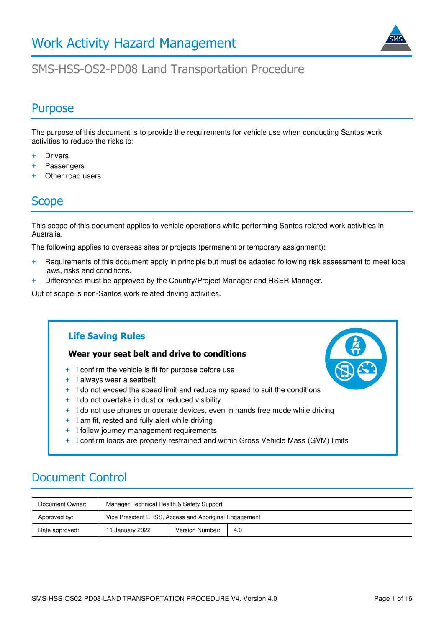

### SMS-HSS-OS2-PD08 Land Transportation Procedure

### **Purpose**

The purpose of this document is to provide the requirements for vehicle use when conducting Santos work activities to reduce the risks to:

- + Drivers
- + Passengers
- + Other road users

#### Scope

This scope of this document applies to vehicle operations while performing Santos related work activities in Australia.

The following applies to overseas sites or projects (permanent or temporary assignment):

- + Requirements of this document apply in principle but must be adapted following risk assessment to meet local laws, risks and conditions.
- + Differences must be approved by the Country/Project Manager and HSER Manager.

Out of scope is non-Santos work related driving activities.

### **Life Saving Rules Wear your seat belt and drive to conditions**  + I confirm the vehicle is fit for purpose before use + I always wear a seatbelt + I do not exceed the speed limit and reduce my speed to suit the conditions + I do not overtake in dust or reduced visibility + I do not use phones or operate devices, even in hands free mode while driving + I am fit, rested and fully alert while driving + I follow journey management requirements + I confirm loads are properly restrained and within Gross Vehicle Mass (GVM) limits

### Document Control

| Document Owner: | Manager Technical Health & Safety Support             |                 |     |
|-----------------|-------------------------------------------------------|-----------------|-----|
| Approved by:    | Vice President EHSS, Access and Aboriginal Engagement |                 |     |
| Date approved:  | 11 January 2022                                       | Version Number: | 4.0 |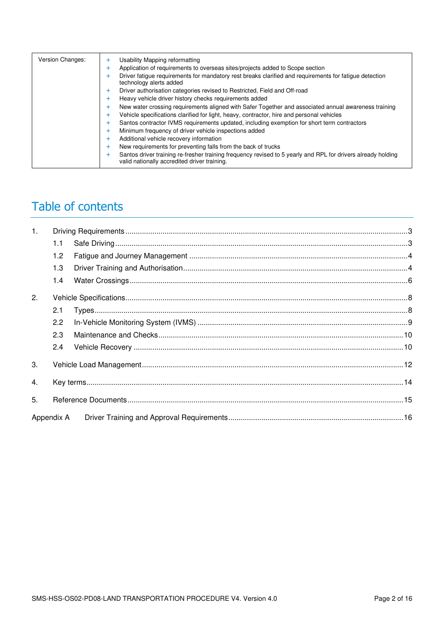| Version Changes: | Usability Mapping reformatting<br>÷<br>Application of requirements to overseas sites/projects added to Scope section<br>Driver fatigue requirements for mandatory rest breaks clarified and requirements for fatigue detection<br>technology alerts added<br>Driver authorisation categories revised to Restricted, Field and Off-road<br>Heavy vehicle driver history checks requirements added<br>New water crossing requirements aligned with Safer Together and associated annual awareness training<br>$\ddot{}$<br>Vehicle specifications clarified for light, heavy, contractor, hire and personal vehicles<br>+<br>Santos contractor IVMS requirements updated, including exemption for short term contractors<br>+<br>Minimum frequency of driver vehicle inspections added<br>٠<br>Additional vehicle recovery information<br>÷<br>New requirements for preventing falls from the back of trucks<br>÷<br>Santos driver training re-fresher training frequency revised to 5 yearly and RPL for drivers already holding |
|------------------|---------------------------------------------------------------------------------------------------------------------------------------------------------------------------------------------------------------------------------------------------------------------------------------------------------------------------------------------------------------------------------------------------------------------------------------------------------------------------------------------------------------------------------------------------------------------------------------------------------------------------------------------------------------------------------------------------------------------------------------------------------------------------------------------------------------------------------------------------------------------------------------------------------------------------------------------------------------------------------------------------------------------------------|
|                  | valid nationally accredited driver training.                                                                                                                                                                                                                                                                                                                                                                                                                                                                                                                                                                                                                                                                                                                                                                                                                                                                                                                                                                                    |

# Table of contents

| $\mathbf{1}$ . |            |  |
|----------------|------------|--|
|                | 1.1        |  |
|                | 1.2        |  |
|                | 1.3        |  |
|                | 1.4        |  |
| 2.             |            |  |
|                | 2.1        |  |
|                | 2.2        |  |
|                | 2.3        |  |
|                | 2.4        |  |
| 3.             |            |  |
| 4.             |            |  |
| 5.             |            |  |
|                | Appendix A |  |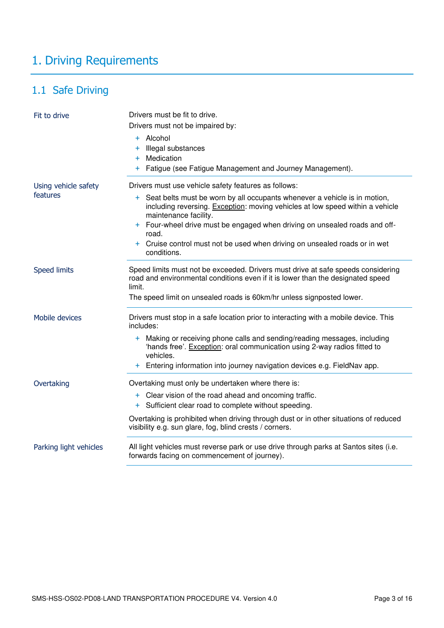# <span id="page-2-0"></span>1. Driving Requirements

### <span id="page-2-1"></span>1.1 Safe Driving

| Fit to drive           | Drivers must be fit to drive.<br>Drivers must not be impaired by:<br>+ Alcohol<br>Illegal substances<br>÷.<br>Medication<br>$+$<br>+ Fatigue (see Fatigue Management and Journey Management). |
|------------------------|-----------------------------------------------------------------------------------------------------------------------------------------------------------------------------------------------|
| Using vehicle safety   | Drivers must use vehicle safety features as follows:                                                                                                                                          |
| features               | Seat belts must be worn by all occupants whenever a vehicle is in motion,<br>$+$<br>including reversing. Exception: moving vehicles at low speed within a vehicle<br>maintenance facility.    |
|                        | + Four-wheel drive must be engaged when driving on unsealed roads and off-<br>road.                                                                                                           |
|                        | Cruise control must not be used when driving on unsealed roads or in wet<br>$+$<br>conditions.                                                                                                |
| <b>Speed limits</b>    | Speed limits must not be exceeded. Drivers must drive at safe speeds considering<br>road and environmental conditions even if it is lower than the designated speed<br>limit.                 |
|                        | The speed limit on unsealed roads is 60km/hr unless signposted lower.                                                                                                                         |
| Mobile devices         | Drivers must stop in a safe location prior to interacting with a mobile device. This<br>includes:                                                                                             |
|                        | + Making or receiving phone calls and sending/reading messages, including<br>'hands free'. Exception: oral communication using 2-way radios fitted to<br>vehicles.                            |
|                        | + Entering information into journey navigation devices e.g. FieldNav app.                                                                                                                     |
| Overtaking             | Overtaking must only be undertaken where there is:                                                                                                                                            |
|                        | + Clear vision of the road ahead and oncoming traffic.                                                                                                                                        |
|                        | + Sufficient clear road to complete without speeding.                                                                                                                                         |
|                        | Overtaking is prohibited when driving through dust or in other situations of reduced<br>visibility e.g. sun glare, fog, blind crests / corners.                                               |
| Parking light vehicles | All light vehicles must reverse park or use drive through parks at Santos sites (i.e.<br>forwards facing on commencement of journey).                                                         |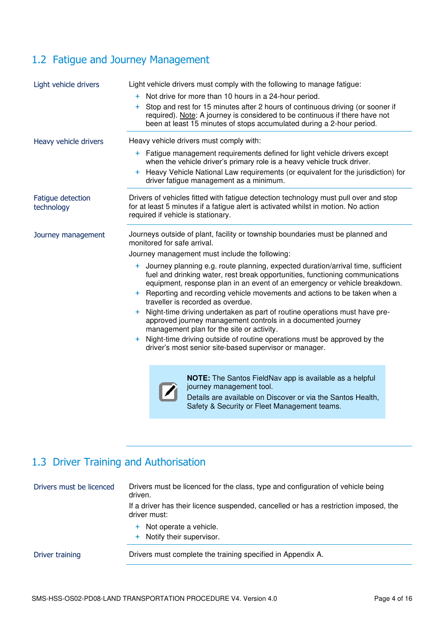### <span id="page-3-0"></span>1.2 Fatigue and Journey Management

| Light vehicle drivers           | Light vehicle drivers must comply with the following to manage fatigue:<br>+ Not drive for more than 10 hours in a 24-hour period.<br>Stop and rest for 15 minutes after 2 hours of continuous driving (or sooner if<br>$+$<br>required). Note: A journey is considered to be continuous if there have not<br>been at least 15 minutes of stops accumulated during a 2-hour period.                                                                                                                                                                                                                                                                                                                                                                                                                                                                                               |  |  |
|---------------------------------|-----------------------------------------------------------------------------------------------------------------------------------------------------------------------------------------------------------------------------------------------------------------------------------------------------------------------------------------------------------------------------------------------------------------------------------------------------------------------------------------------------------------------------------------------------------------------------------------------------------------------------------------------------------------------------------------------------------------------------------------------------------------------------------------------------------------------------------------------------------------------------------|--|--|
| Heavy vehicle drivers           | Heavy vehicle drivers must comply with:<br>+ Fatigue management requirements defined for light vehicle drivers except<br>when the vehicle driver's primary role is a heavy vehicle truck driver.<br>+ Heavy Vehicle National Law requirements (or equivalent for the jurisdiction) for<br>driver fatigue management as a minimum.                                                                                                                                                                                                                                                                                                                                                                                                                                                                                                                                                 |  |  |
| Fatigue detection<br>technology | Drivers of vehicles fitted with fatigue detection technology must pull over and stop<br>for at least 5 minutes if a fatigue alert is activated whilst in motion. No action<br>required if vehicle is stationary.                                                                                                                                                                                                                                                                                                                                                                                                                                                                                                                                                                                                                                                                  |  |  |
| Journey management              | Journeys outside of plant, facility or township boundaries must be planned and<br>monitored for safe arrival.<br>Journey management must include the following:<br>+ Journey planning e.g. route planning, expected duration/arrival time, sufficient<br>fuel and drinking water, rest break opportunities, functioning communications<br>equipment, response plan in an event of an emergency or vehicle breakdown.<br>+ Reporting and recording vehicle movements and actions to be taken when a<br>traveller is recorded as overdue.<br>+ Night-time driving undertaken as part of routine operations must have pre-<br>approved journey management controls in a documented journey<br>management plan for the site or activity.<br>Night-time driving outside of routine operations must be approved by the<br>$+$<br>driver's most senior site-based supervisor or manager. |  |  |
|                                 | <b>NOTE:</b> The Santos FieldNav app is available as a helpful<br>journey management tool.<br>Details are available on Discover or via the Santos Health,<br>Safety & Security or Fleet Management teams.                                                                                                                                                                                                                                                                                                                                                                                                                                                                                                                                                                                                                                                                         |  |  |

### <span id="page-3-1"></span>1.3 Driver Training and Authorisation

| Drivers must be licenced | Drivers must be licenced for the class, type and configuration of vehicle being<br>driven.<br>If a driver has their licence suspended, cancelled or has a restriction imposed, the<br>driver must: |
|--------------------------|----------------------------------------------------------------------------------------------------------------------------------------------------------------------------------------------------|
|                          | + Not operate a vehicle.<br>+ Notify their supervisor.                                                                                                                                             |
| Driver training          | Drivers must complete the training specified in Appendix A.                                                                                                                                        |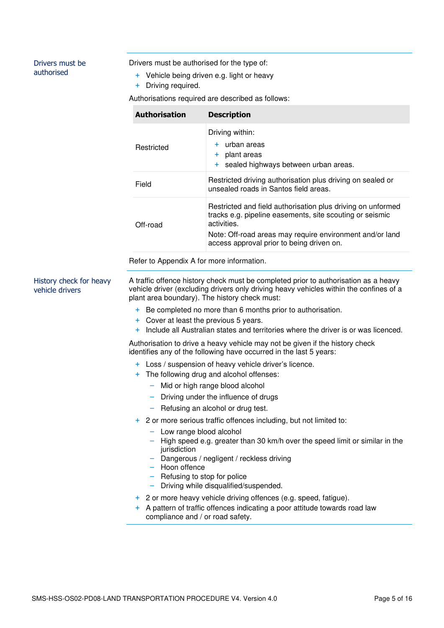#### Drivers must be authorised

Drivers must be authorised for the type of:

- + Vehicle being driven e.g. light or heavy
- + Driving required.

Authorisations required are described as follows:

| <b>Authorisation</b> | <b>Description</b>                                                                                                                                                                                                                              |
|----------------------|-------------------------------------------------------------------------------------------------------------------------------------------------------------------------------------------------------------------------------------------------|
| Restricted           | Driving within:<br>+ urban areas<br>plant areas<br>$+$<br>+ sealed highways between urban areas.                                                                                                                                                |
| Field                | Restricted driving authorisation plus driving on sealed or<br>unsealed roads in Santos field areas.                                                                                                                                             |
| Off-road             | Restricted and field authorisation plus driving on unformed<br>tracks e.g. pipeline easements, site scouting or seismic<br>activities.<br>Note: Off-road areas may require environment and/or land<br>access approval prior to being driven on. |

Refer to Appendix A for more information.

History check for heavy vehicle drivers

A traffic offence history check must be completed prior to authorisation as a heavy vehicle driver (excluding drivers only driving heavy vehicles within the confines of a plant area boundary). The history check must:

- + Be completed no more than 6 months prior to authorisation.
- + Cover at least the previous 5 years.
- + Include all Australian states and territories where the driver is or was licenced.

Authorisation to drive a heavy vehicle may not be given if the history check identifies any of the following have occurred in the last 5 years:

- + Loss / suspension of heavy vehicle driver's licence.
- + The following drug and alcohol offenses:
	- Mid or high range blood alcohol
	- ‒ Driving under the influence of drugs
	- Refusing an alcohol or drug test.
- + 2 or more serious traffic offences including, but not limited to:
	- Low range blood alcohol
	- ‒ High speed e.g. greater than 30 km/h over the speed limit or similar in the jurisdiction
	- ‒ Dangerous / negligent / reckless driving
	- ‒ Hoon offence
	- ‒ Refusing to stop for police
	- ‒ Driving while disqualified/suspended.
- + 2 or more heavy vehicle driving offences (e.g. speed, fatigue).
- A pattern of traffic offences indicating a poor attitude towards road law compliance and / or road safety.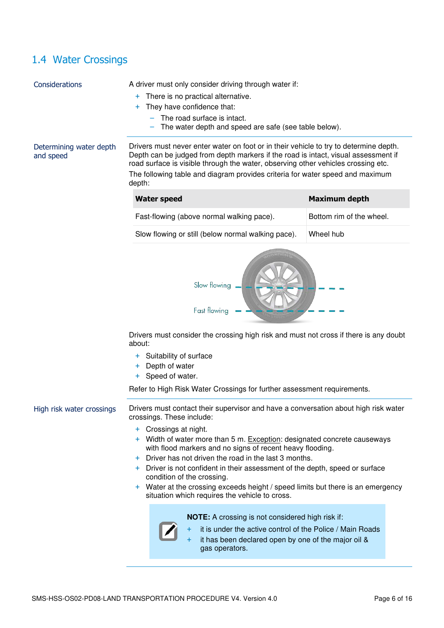### <span id="page-5-0"></span>1.4 Water Crossings

| Considerations                       | A driver must only consider driving through water if:<br>There is no practical alternative.<br>+<br>They have confidence that:<br>÷.<br>The road surface is intact.<br>The water depth and speed are safe (see table below).                                                                                                                                                                                                                                                     |                          |  |
|--------------------------------------|----------------------------------------------------------------------------------------------------------------------------------------------------------------------------------------------------------------------------------------------------------------------------------------------------------------------------------------------------------------------------------------------------------------------------------------------------------------------------------|--------------------------|--|
| Determining water depth<br>and speed | Drivers must never enter water on foot or in their vehicle to try to determine depth.<br>Depth can be judged from depth markers if the road is intact, visual assessment if<br>road surface is visible through the water, observing other vehicles crossing etc.<br>The following table and diagram provides criteria for water speed and maximum<br>depth:                                                                                                                      |                          |  |
|                                      | <b>Water speed</b>                                                                                                                                                                                                                                                                                                                                                                                                                                                               | Maximum depth            |  |
|                                      | Fast-flowing (above normal walking pace).                                                                                                                                                                                                                                                                                                                                                                                                                                        | Bottom rim of the wheel. |  |
|                                      | Slow flowing or still (below normal walking pace).                                                                                                                                                                                                                                                                                                                                                                                                                               | Wheel hub                |  |
|                                      | Slow flowing<br>Fast flowing                                                                                                                                                                                                                                                                                                                                                                                                                                                     |                          |  |
|                                      | Drivers must consider the crossing high risk and must not cross if there is any doubt<br>about:                                                                                                                                                                                                                                                                                                                                                                                  |                          |  |
|                                      | Suitability of surface<br>÷.<br>Depth of water<br>÷<br>Speed of water.<br>+                                                                                                                                                                                                                                                                                                                                                                                                      |                          |  |
|                                      | Refer to High Risk Water Crossings for further assessment requirements.                                                                                                                                                                                                                                                                                                                                                                                                          |                          |  |
| High risk water crossings            | Drivers must contact their supervisor and have a conversation about high risk water<br>crossings. These include:                                                                                                                                                                                                                                                                                                                                                                 |                          |  |
|                                      | + Crossings at night.<br>+ Width of water more than 5 m. Exception: designated concrete causeways<br>with flood markers and no signs of recent heavy flooding.<br>Driver has not driven the road in the last 3 months.<br>$+$<br>+ Driver is not confident in their assessment of the depth, speed or surface<br>condition of the crossing.<br>+ Water at the crossing exceeds height / speed limits but there is an emergency<br>situation which requires the vehicle to cross. |                          |  |
|                                      | NOTE: A crossing is not considered high risk if:<br>it is under the active control of the Police / Main Roads<br>it has been declared open by one of the major oil &<br>gas operators.                                                                                                                                                                                                                                                                                           |                          |  |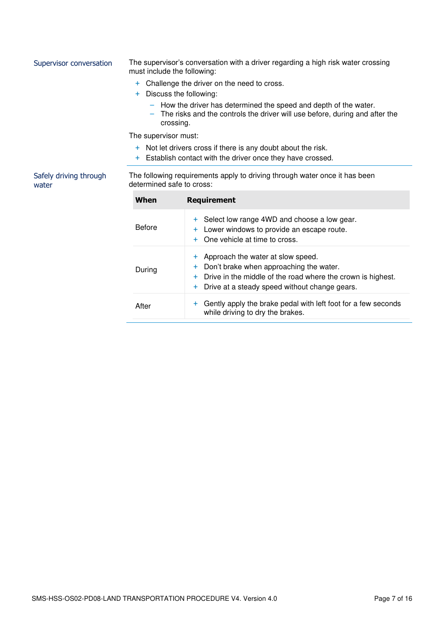| Supervisor conversation         | The supervisor's conversation with a driver regarding a high risk water crossing<br>must include the following: |                                                                                                                                                              |
|---------------------------------|-----------------------------------------------------------------------------------------------------------------|--------------------------------------------------------------------------------------------------------------------------------------------------------------|
|                                 | $+$<br>$+$                                                                                                      | Challenge the driver on the need to cross.<br>Discuss the following:                                                                                         |
|                                 | crossing.                                                                                                       | - How the driver has determined the speed and depth of the water.<br>The risks and the controls the driver will use before, during and after the             |
|                                 | The supervisor must:                                                                                            |                                                                                                                                                              |
|                                 | $+$                                                                                                             | + Not let drivers cross if there is any doubt about the risk.<br>Establish contact with the driver once they have crossed.                                   |
| Safely driving through<br>water | determined safe to cross:                                                                                       | The following requirements apply to driving through water once it has been                                                                                   |
|                                 | When                                                                                                            | <b>Requirement</b>                                                                                                                                           |
|                                 | <b>Before</b>                                                                                                   | Select low range 4WD and choose a low gear.<br>÷.<br>Lower windows to provide an escape route.<br>٠<br>One vehicle at time to cross.<br>$\pm$                |
|                                 | During                                                                                                          | Approach the water at slow speed.<br>٠<br>Don't brake when approaching the water.<br>┿<br>Drive in the middle of the road where the crown is highest.<br>$+$ |

+ Drive at a steady speed without change gears.

After  $+$  Gently apply the brake pedal with left foot for a few seconds

while driving to dry the brakes.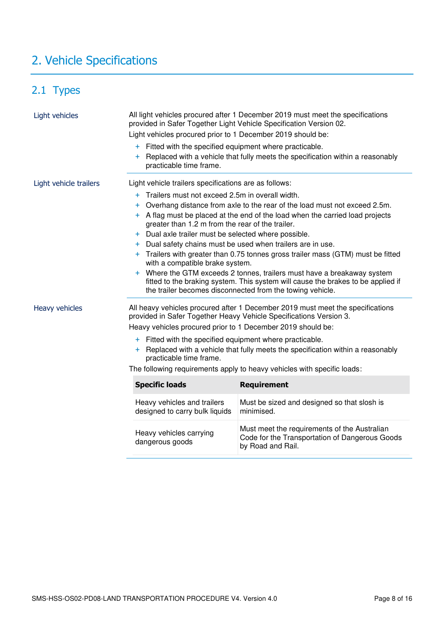# <span id="page-7-0"></span>2. Vehicle Specifications

### <span id="page-7-1"></span>2.1 Types

| Light vehicles         | Light vehicles procured prior to 1 December 2019 should be:<br>+ Fitted with the specified equipment where practicable.                                                                                                  | All light vehicles procured after 1 December 2019 must meet the specifications<br>provided in Safer Together Light Vehicle Specification Version 02. |  |  |
|------------------------|--------------------------------------------------------------------------------------------------------------------------------------------------------------------------------------------------------------------------|------------------------------------------------------------------------------------------------------------------------------------------------------|--|--|
|                        | practicable time frame.                                                                                                                                                                                                  | + Replaced with a vehicle that fully meets the specification within a reasonably                                                                     |  |  |
| Light vehicle trailers | Light vehicle trailers specifications are as follows:                                                                                                                                                                    |                                                                                                                                                      |  |  |
|                        | Trailers must not exceed 2.5m in overall width.<br>$+$                                                                                                                                                                   |                                                                                                                                                      |  |  |
|                        | $\pm$                                                                                                                                                                                                                    | Overhang distance from axle to the rear of the load must not exceed 2.5m.                                                                            |  |  |
|                        | greater than 1.2 m from the rear of the trailer.                                                                                                                                                                         | + A flag must be placed at the end of the load when the carried load projects                                                                        |  |  |
|                        | + Dual axle trailer must be selected where possible.                                                                                                                                                                     |                                                                                                                                                      |  |  |
|                        | + Dual safety chains must be used when trailers are in use.                                                                                                                                                              |                                                                                                                                                      |  |  |
|                        | + Trailers with greater than 0.75 tonnes gross trailer mass (GTM) must be fitted<br>with a compatible brake system.                                                                                                      |                                                                                                                                                      |  |  |
|                        | + Where the GTM exceeds 2 tonnes, trailers must have a breakaway system<br>fitted to the braking system. This system will cause the brakes to be applied if<br>the trailer becomes disconnected from the towing vehicle. |                                                                                                                                                      |  |  |
| Heavy vehicles         |                                                                                                                                                                                                                          | All heavy vehicles procured after 1 December 2019 must meet the specifications<br>provided in Safer Together Heavy Vehicle Specifications Version 3. |  |  |
|                        | Heavy vehicles procured prior to 1 December 2019 should be:                                                                                                                                                              |                                                                                                                                                      |  |  |
|                        | + Fitted with the specified equipment where practicable.                                                                                                                                                                 |                                                                                                                                                      |  |  |
|                        | + Replaced with a vehicle that fully meets the specification within a reasonably<br>practicable time frame.                                                                                                              |                                                                                                                                                      |  |  |
|                        | The following requirements apply to heavy vehicles with specific loads:                                                                                                                                                  |                                                                                                                                                      |  |  |
|                        | <b>Specific loads</b>                                                                                                                                                                                                    | <b>Requirement</b>                                                                                                                                   |  |  |
|                        | Heavy vehicles and trailers<br>designed to carry bulk liquids                                                                                                                                                            | Must be sized and designed so that slosh is<br>minimised.                                                                                            |  |  |
|                        | Heavy vehicles carrying<br>dangerous goods                                                                                                                                                                               | Must meet the requirements of the Australian<br>Code for the Transportation of Dangerous Goods<br>by Road and Rail.                                  |  |  |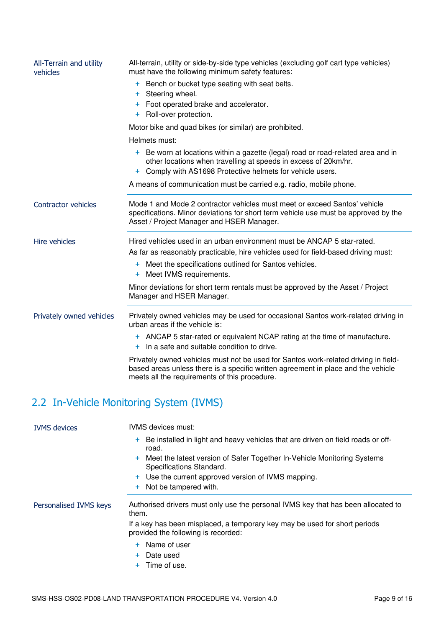| All-Terrain and utility<br>vehicles | All-terrain, utility or side-by-side type vehicles (excluding golf cart type vehicles)<br>must have the following minimum safety features:                                                                                |
|-------------------------------------|---------------------------------------------------------------------------------------------------------------------------------------------------------------------------------------------------------------------------|
|                                     | + Bench or bucket type seating with seat belts.<br>+ Steering wheel.<br>+ Foot operated brake and accelerator.<br>+ Roll-over protection.                                                                                 |
|                                     | Motor bike and quad bikes (or similar) are prohibited.                                                                                                                                                                    |
|                                     | Helmets must:                                                                                                                                                                                                             |
|                                     | + Be worn at locations within a gazette (legal) road or road-related area and in<br>other locations when travelling at speeds in excess of 20km/hr.<br>Comply with AS1698 Protective helmets for vehicle users.<br>$+$    |
|                                     | A means of communication must be carried e.g. radio, mobile phone.                                                                                                                                                        |
| Contractor vehicles                 | Mode 1 and Mode 2 contractor vehicles must meet or exceed Santos' vehicle<br>specifications. Minor deviations for short term vehicle use must be approved by the<br>Asset / Project Manager and HSER Manager.             |
| Hire vehicles                       | Hired vehicles used in an urban environment must be ANCAP 5 star-rated.<br>As far as reasonably practicable, hire vehicles used for field-based driving must:                                                             |
|                                     | + Meet the specifications outlined for Santos vehicles.<br>Meet IVMS requirements.<br>$\ddot{}$                                                                                                                           |
|                                     | Minor deviations for short term rentals must be approved by the Asset / Project<br>Manager and HSER Manager.                                                                                                              |
| Privately owned vehicles            | Privately owned vehicles may be used for occasional Santos work-related driving in<br>urban areas if the vehicle is:                                                                                                      |
|                                     | + ANCAP 5 star-rated or equivalent NCAP rating at the time of manufacture.<br>+ In a safe and suitable condition to drive.                                                                                                |
|                                     | Privately owned vehicles must not be used for Santos work-related driving in field-<br>based areas unless there is a specific written agreement in place and the vehicle<br>meets all the requirements of this procedure. |

<span id="page-8-0"></span>

| <b>IVMS</b> devices    | <b>IVMS</b> devices must:                                                                                         |  |
|------------------------|-------------------------------------------------------------------------------------------------------------------|--|
|                        | + Be installed in light and heavy vehicles that are driven on field roads or off-<br>road.                        |  |
|                        | + Meet the latest version of Safer Together In-Vehicle Monitoring Systems<br>Specifications Standard.             |  |
|                        | + Use the current approved version of IVMS mapping.                                                               |  |
|                        | + Not be tampered with.                                                                                           |  |
| Personalised IVMS keys | Authorised drivers must only use the personal IVMS key that has been allocated to<br>them.                        |  |
|                        | If a key has been misplaced, a temporary key may be used for short periods<br>provided the following is recorded: |  |
|                        | + Name of user                                                                                                    |  |
|                        | + Date used                                                                                                       |  |
|                        | $+$ Time of use.                                                                                                  |  |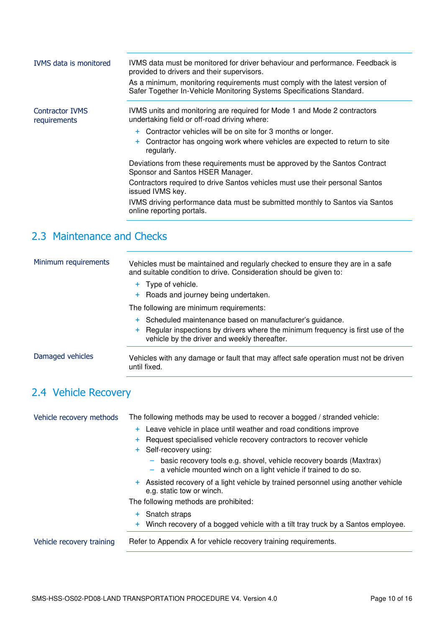| <b>IVMS</b> data is monitored   | IVMS data must be monitored for driver behaviour and performance. Feedback is<br>provided to drivers and their supervisors.<br>As a minimum, monitoring requirements must comply with the latest version of<br>Safer Together In-Vehicle Monitoring Systems Specifications Standard. |
|---------------------------------|--------------------------------------------------------------------------------------------------------------------------------------------------------------------------------------------------------------------------------------------------------------------------------------|
| Contractor IVMS<br>requirements | IVMS units and monitoring are required for Mode 1 and Mode 2 contractors<br>undertaking field or off-road driving where:                                                                                                                                                             |
|                                 | + Contractor vehicles will be on site for 3 months or longer.<br>+ Contractor has ongoing work where vehicles are expected to return to site<br>regularly.                                                                                                                           |
|                                 | Deviations from these requirements must be approved by the Santos Contract<br>Sponsor and Santos HSER Manager.                                                                                                                                                                       |
|                                 | Contractors required to drive Santos vehicles must use their personal Santos<br>issued IVMS key.                                                                                                                                                                                     |
|                                 | IVMS driving performance data must be submitted monthly to Santos via Santos<br>online reporting portals.                                                                                                                                                                            |

### <span id="page-9-0"></span>2.3 Maintenance and Checks

| Minimum requirements | Vehicles must be maintained and regularly checked to ensure they are in a safe<br>and suitable condition to drive. Consideration should be given to:                                          |
|----------------------|-----------------------------------------------------------------------------------------------------------------------------------------------------------------------------------------------|
|                      | + Type of vehicle.<br>+ Roads and journey being undertaken.                                                                                                                                   |
|                      | The following are minimum requirements:                                                                                                                                                       |
|                      | + Scheduled maintenance based on manufacturer's guidance.<br>+ Regular inspections by drivers where the minimum frequency is first use of the<br>vehicle by the driver and weekly thereafter. |
| Damaged vehicles     | Vehicles with any damage or fault that may affect safe operation must not be driven<br>until fixed.                                                                                           |

### <span id="page-9-1"></span>2.4 Vehicle Recovery

| Vehicle recovery methods  | The following methods may be used to recover a bogged / stranded vehicle:                                                                          |
|---------------------------|----------------------------------------------------------------------------------------------------------------------------------------------------|
|                           | Leave vehicle in place until weather and road conditions improve<br>$+$                                                                            |
|                           | Request specialised vehicle recovery contractors to recover vehicle<br>$+$                                                                         |
|                           | Self-recovery using:<br>$+$                                                                                                                        |
|                           | basic recovery tools e.g. shovel, vehicle recovery boards (Maxtrax)<br>-<br>a vehicle mounted winch on a light vehicle if trained to do so.<br>- 1 |
|                           | + Assisted recovery of a light vehicle by trained personnel using another vehicle<br>e.g. static tow or winch.                                     |
|                           | The following methods are prohibited:                                                                                                              |
|                           | Snatch straps<br>$+$                                                                                                                               |
|                           | + Winch recovery of a bogged vehicle with a tilt tray truck by a Santos employee.                                                                  |
| Vehicle recovery training | Refer to Appendix A for vehicle recovery training requirements.                                                                                    |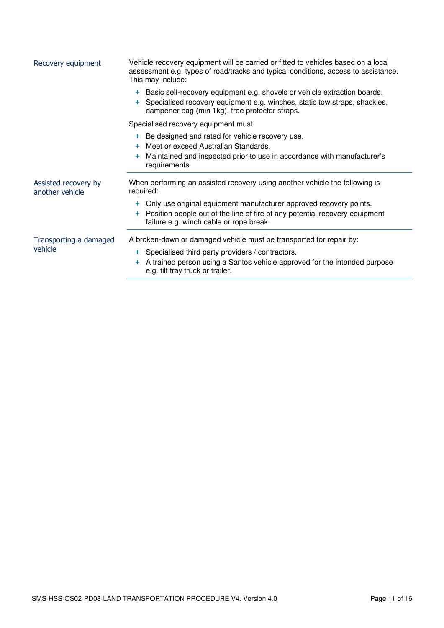| Recovery equipment                      | Vehicle recovery equipment will be carried or fitted to vehicles based on a local<br>assessment e.g. types of road/tracks and typical conditions, access to assistance.<br>This may include:                          |  |  |
|-----------------------------------------|-----------------------------------------------------------------------------------------------------------------------------------------------------------------------------------------------------------------------|--|--|
|                                         | Basic self-recovery equipment e.g. shovels or vehicle extraction boards.<br>$+$<br>Specialised recovery equipment e.g. winches, static tow straps, shackles,<br>$+$<br>dampener bag (min 1kg), tree protector straps. |  |  |
|                                         | Specialised recovery equipment must:                                                                                                                                                                                  |  |  |
|                                         | + Be designed and rated for vehicle recovery use.<br>Meet or exceed Australian Standards.<br>Maintained and inspected prior to use in accordance with manufacturer's<br>÷.<br>requirements.                           |  |  |
| Assisted recovery by<br>another vehicle | When performing an assisted recovery using another vehicle the following is<br>required:                                                                                                                              |  |  |
|                                         | Only use original equipment manufacturer approved recovery points.<br>$+$<br>Position people out of the line of fire of any potential recovery equipment<br>$+$<br>failure e.g. winch cable or rope break.            |  |  |
| Transporting a damaged<br>vehicle       | A broken-down or damaged vehicle must be transported for repair by:                                                                                                                                                   |  |  |
|                                         | Specialised third party providers / contractors.<br>$+$<br>A trained person using a Santos vehicle approved for the intended purpose<br>÷.<br>e.g. tilt tray truck or trailer.                                        |  |  |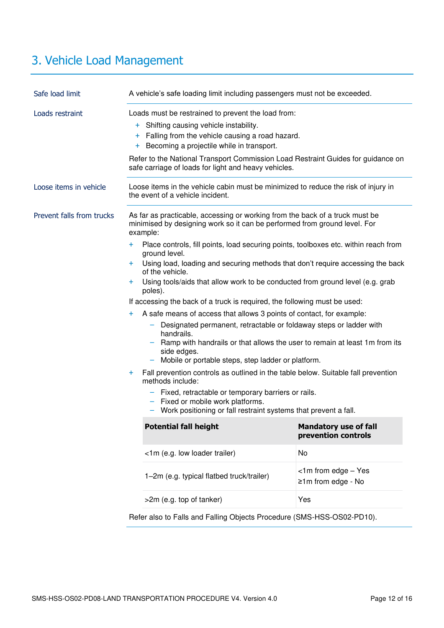# <span id="page-11-0"></span>3. Vehicle Load Management

| Safe load limit           | A vehicle's safe loading limit including passengers must not be exceeded.                                                                                                                                                                                                                                                                                                                                                                                                                                                                                                                                                                                                                                                                                                                                                                                                                                                                                                                                                                                                                                              |                                                     |  |
|---------------------------|------------------------------------------------------------------------------------------------------------------------------------------------------------------------------------------------------------------------------------------------------------------------------------------------------------------------------------------------------------------------------------------------------------------------------------------------------------------------------------------------------------------------------------------------------------------------------------------------------------------------------------------------------------------------------------------------------------------------------------------------------------------------------------------------------------------------------------------------------------------------------------------------------------------------------------------------------------------------------------------------------------------------------------------------------------------------------------------------------------------------|-----------------------------------------------------|--|
| Loads restraint           | Loads must be restrained to prevent the load from:<br>+ Shifting causing vehicle instability.<br>Falling from the vehicle causing a road hazard.<br>$+$<br>Becoming a projectile while in transport.<br>÷.<br>Refer to the National Transport Commission Load Restraint Guides for guidance on<br>safe carriage of loads for light and heavy vehicles.                                                                                                                                                                                                                                                                                                                                                                                                                                                                                                                                                                                                                                                                                                                                                                 |                                                     |  |
| Loose items in vehicle    | Loose items in the vehicle cabin must be minimized to reduce the risk of injury in<br>the event of a vehicle incident.                                                                                                                                                                                                                                                                                                                                                                                                                                                                                                                                                                                                                                                                                                                                                                                                                                                                                                                                                                                                 |                                                     |  |
| Prevent falls from trucks | As far as practicable, accessing or working from the back of a truck must be<br>minimised by designing work so it can be performed from ground level. For<br>example:<br>Place controls, fill points, load securing points, toolboxes etc. within reach from<br>÷<br>ground level.<br>Using load, loading and securing methods that don't require accessing the back<br>$+$<br>of the vehicle.<br>Using tools/aids that allow work to be conducted from ground level (e.g. grab<br>$\pm$<br>poles).<br>If accessing the back of a truck is required, the following must be used:<br>A safe means of access that allows 3 points of contact, for example:<br>÷<br>Designated permanent, retractable or foldaway steps or ladder with<br>-<br>handrails.<br>Ramp with handrails or that allows the user to remain at least 1m from its<br>side edges.<br>Mobile or portable steps, step ladder or platform.<br>Fall prevention controls as outlined in the table below. Suitable fall prevention<br>$\pm$<br>methods include:<br>- Fixed, retractable or temporary barriers or rails.<br>Fixed or mobile work platforms. |                                                     |  |
|                           | Work positioning or fall restraint systems that prevent a fall.<br><b>Potential fall height</b>                                                                                                                                                                                                                                                                                                                                                                                                                                                                                                                                                                                                                                                                                                                                                                                                                                                                                                                                                                                                                        | <b>Mandatory use of fall</b><br>prevention controls |  |
|                           | <1m (e.g. low loader trailer)                                                                                                                                                                                                                                                                                                                                                                                                                                                                                                                                                                                                                                                                                                                                                                                                                                                                                                                                                                                                                                                                                          | No                                                  |  |
|                           | 1-2m (e.g. typical flatbed truck/trailer)                                                                                                                                                                                                                                                                                                                                                                                                                                                                                                                                                                                                                                                                                                                                                                                                                                                                                                                                                                                                                                                                              | $<$ 1m from edge – Yes<br>$\geq 1$ m from edge - No |  |
|                           | >2m (e.g. top of tanker)                                                                                                                                                                                                                                                                                                                                                                                                                                                                                                                                                                                                                                                                                                                                                                                                                                                                                                                                                                                                                                                                                               | Yes                                                 |  |

Refer also to Falls and Falling Objects Procedure (SMS-HSS-OS02-PD10).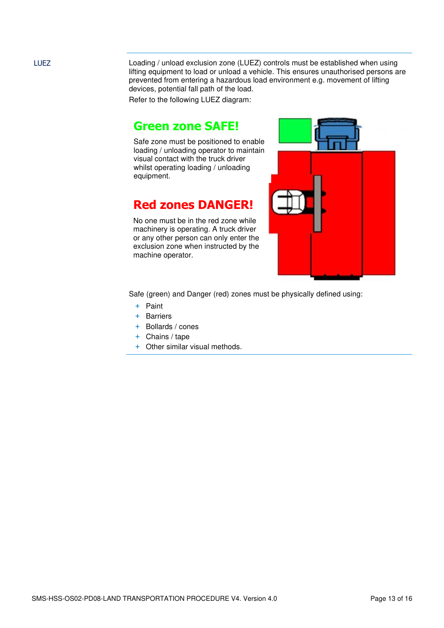LUEZ Loading / unload exclusion zone (LUEZ) controls must be established when using lifting equipment to load or unload a vehicle. This ensures unauthorised persons are prevented from entering a hazardous load environment e.g. movement of lifting devices, potential fall path of the load.

Refer to the following LUEZ diagram:

### **Green zone SAFE!**

Safe zone must be positioned to enable loading / unloading operator to maintain visual contact with the truck driver whilst operating loading / unloading equipment.

### **Red zones DANGER!**

No one must be in the red zone while machinery is operating. A truck driver or any other person can only enter the exclusion zone when instructed by the machine operator.



Safe (green) and Danger (red) zones must be physically defined using:

- + Paint
- + Barriers
- + Bollards / cones
- + Chains / tape
- + Other similar visual methods.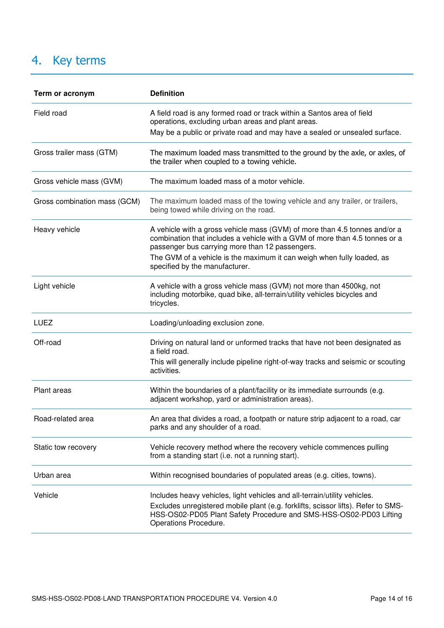# <span id="page-13-0"></span>4. Key terms

| Term or acronym              | <b>Definition</b>                                                                                                                                                                                            |
|------------------------------|--------------------------------------------------------------------------------------------------------------------------------------------------------------------------------------------------------------|
| Field road                   | A field road is any formed road or track within a Santos area of field<br>operations, excluding urban areas and plant areas.                                                                                 |
|                              | May be a public or private road and may have a sealed or unsealed surface.                                                                                                                                   |
| Gross trailer mass (GTM)     | The maximum loaded mass transmitted to the ground by the axle, or axles, of<br>the trailer when coupled to a towing vehicle.                                                                                 |
| Gross vehicle mass (GVM)     | The maximum loaded mass of a motor vehicle.                                                                                                                                                                  |
| Gross combination mass (GCM) | The maximum loaded mass of the towing vehicle and any trailer, or trailers,<br>being towed while driving on the road.                                                                                        |
| Heavy vehicle                | A vehicle with a gross vehicle mass (GVM) of more than 4.5 tonnes and/or a<br>combination that includes a vehicle with a GVM of more than 4.5 tonnes or a<br>passenger bus carrying more than 12 passengers. |
|                              | The GVM of a vehicle is the maximum it can weigh when fully loaded, as<br>specified by the manufacturer.                                                                                                     |
| Light vehicle                | A vehicle with a gross vehicle mass (GVM) not more than 4500kg, not<br>including motorbike, quad bike, all-terrain/utility vehicles bicycles and<br>tricycles.                                               |
| LUEZ                         | Loading/unloading exclusion zone.                                                                                                                                                                            |
| Off-road                     | Driving on natural land or unformed tracks that have not been designated as<br>a field road.                                                                                                                 |
|                              | This will generally include pipeline right-of-way tracks and seismic or scouting<br>activities.                                                                                                              |
| Plant areas                  | Within the boundaries of a plant/facility or its immediate surrounds (e.g.<br>adjacent workshop, yard or administration areas).                                                                              |
| Road-related area            | An area that divides a road, a footpath or nature strip adjacent to a road, car<br>parks and any shoulder of a road.                                                                                         |
| Static tow recovery          | Vehicle recovery method where the recovery vehicle commences pulling<br>from a standing start (i.e. not a running start).                                                                                    |
| Urban area                   | Within recognised boundaries of populated areas (e.g. cities, towns).                                                                                                                                        |
| Vehicle                      | Includes heavy vehicles, light vehicles and all-terrain/utility vehicles.                                                                                                                                    |
|                              | Excludes unregistered mobile plant (e.g. forklifts, scissor lifts). Refer to SMS-<br>HSS-OS02-PD05 Plant Safety Procedure and SMS-HSS-OS02-PD03 Lifting<br>Operations Procedure.                             |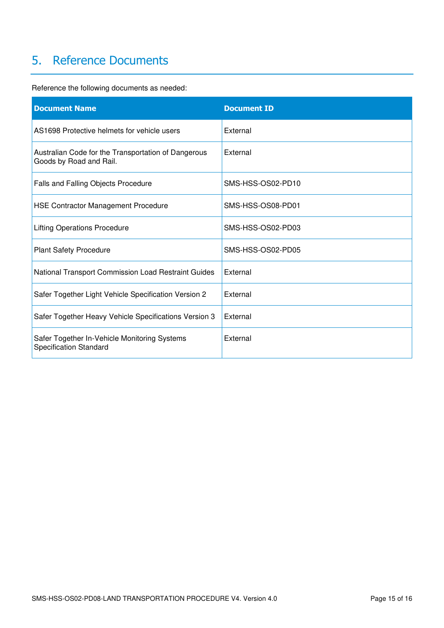### <span id="page-14-0"></span>5. Reference Documents

Reference the following documents as needed:

| <b>Document Name</b>                                                           | <b>Document ID</b> |
|--------------------------------------------------------------------------------|--------------------|
| AS1698 Protective helmets for vehicle users                                    | External           |
| Australian Code for the Transportation of Dangerous<br>Goods by Road and Rail. | External           |
| Falls and Falling Objects Procedure                                            | SMS-HSS-OS02-PD10  |
| <b>HSE Contractor Management Procedure</b>                                     | SMS-HSS-OS08-PD01  |
| <b>Lifting Operations Procedure</b>                                            | SMS-HSS-OS02-PD03  |
| <b>Plant Safety Procedure</b>                                                  | SMS-HSS-OS02-PD05  |
| National Transport Commission Load Restraint Guides                            | External           |
| Safer Together Light Vehicle Specification Version 2                           | External           |
| Safer Together Heavy Vehicle Specifications Version 3                          | External           |
| Safer Together In-Vehicle Monitoring Systems<br><b>Specification Standard</b>  | External           |